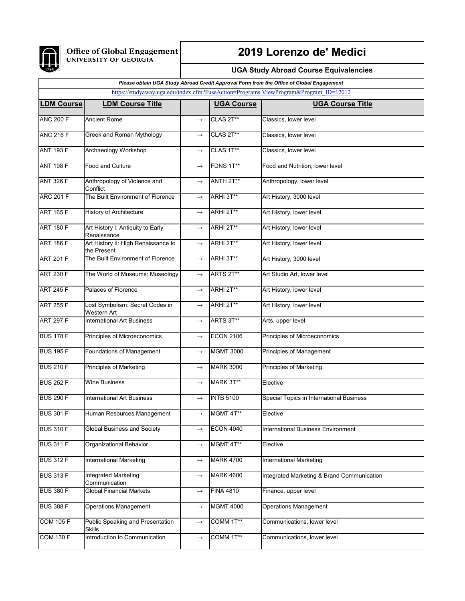

## **2019 Lorenzo de' Medici**

## **UGA Study Abroad Course Equivalencies**

## *Please obtain UGA Study Abroad Credit Approval Form from the Office of Global Engagement*

| https://studyaway.uga.edu/index.cfm?FuseAction=Programs.ViewProgram&Program ID=12012 |                                                       |                   |                   |                                            |  |
|--------------------------------------------------------------------------------------|-------------------------------------------------------|-------------------|-------------------|--------------------------------------------|--|
| <b>LDM Course</b>                                                                    | <b>LDM Course Title</b>                               |                   | <b>UGA Course</b> | <b>UGA Course Title</b>                    |  |
| <b>ANC 200 F</b>                                                                     | <b>Ancient Rome</b>                                   | $\rightarrow$     | CLAS 2T**         | Classics, lower level                      |  |
| <b>ANC 216 F</b>                                                                     | Greek and Roman Mythology                             | $\longrightarrow$ | CLAS 2T**         | Classics, lower level                      |  |
| <b>ANT 193 F</b>                                                                     | Archaeology Workshop                                  | $\longrightarrow$ | CLAS 1T**         | Classics, lower level                      |  |
| <b>ANT 198 F</b>                                                                     | <b>Food and Culture</b>                               | $\rightarrow$     | FDNS 1T**         | Food and Nutrition, lower level            |  |
| <b>ANT 326 F</b>                                                                     | Anthropology of Violence and<br>Conflict              | $\longrightarrow$ | ANTH 2T**         | Anthropology, lower level                  |  |
| <b>ARC 201 F</b>                                                                     | The Built Environment of Florence                     | $\longrightarrow$ | ARHI 3T**         | Art History, 3000 level                    |  |
| <b>ART 165 F</b>                                                                     | <b>History of Architecture</b>                        | $\longrightarrow$ | ARHI 2T**         | Art History, lower level                   |  |
| <b>ART 180 F</b>                                                                     | Art History I: Antiquity to Early<br>Renaissance      | $\longrightarrow$ | ARHI 2T**         | Art History, lower level                   |  |
| <b>ART 186 F</b>                                                                     | Art History II: High Renaissance to<br>the Present    | $\rightarrow$     | ARHI 2T**         | Art History, lower level                   |  |
| <b>ART 201 F</b>                                                                     | The Built Environment of Florence                     | $\longrightarrow$ | ARHI 3T**         | Art History, 3000 level                    |  |
| <b>ART 230 F</b>                                                                     | The World of Museums: Museology                       | $\longrightarrow$ | ARTS 2T**         | Art Studio Art, lower level                |  |
| <b>ART 245 F</b>                                                                     | Palaces of Florence                                   | $\longrightarrow$ | ARHI 2T**         | Art History, lower level                   |  |
| <b>ART 255 F</b>                                                                     | Lost Symbolism: Secret Codes in<br><b>Western Art</b> | $\rightarrow$     | ARHI 2T**         | Art History, lower level                   |  |
| <b>ART 297 F</b>                                                                     | <b>International Art Business</b>                     | $\longrightarrow$ | ARTS 3T**         | Arts, upper level                          |  |
| <b>BUS 178 F</b>                                                                     | Principles of Microeconomics                          | $\longrightarrow$ | <b>ECON 2106</b>  | Principles of Microeconomics               |  |
| <b>BUS 195 F</b>                                                                     | <b>Foundations of Management</b>                      | $\longrightarrow$ | <b>MGMT 3000</b>  | Principles of Management                   |  |
| <b>BUS 210 F</b>                                                                     | <b>Principles of Marketing</b>                        | $\longrightarrow$ | <b>MARK 3000</b>  | <b>Principles of Marketing</b>             |  |
| <b>BUS 252 F</b>                                                                     | <b>Wine Business</b>                                  | $\longrightarrow$ | MARK 3T**         | Elective                                   |  |
| <b>BUS 290 F</b>                                                                     | <b>International Art Business</b>                     | $\rightarrow$     | <b>INTB 5100</b>  | Special Topics in International Business   |  |
| <b>BUS 301 F</b>                                                                     | Human Resources Management                            | $\longrightarrow$ | MGMT 4T**         | Elective                                   |  |
| <b>BUS 310 F</b>                                                                     | Global Business and Society                           |                   | <b>ECON 4040</b>  | International Business Environment         |  |
| <b>BUS 311 F</b>                                                                     | Organizational Behavior                               | $\longrightarrow$ | MGMT 4T**         | Elective                                   |  |
| <b>BUS 312 F</b>                                                                     | International Marketing                               | $\longrightarrow$ | <b>MARK 4700</b>  | International Marketing                    |  |
| <b>BUS 313 F</b>                                                                     | Integrated Marketing<br>Communication                 | $\longrightarrow$ | <b>MARK 4600</b>  | Integrated Marketing & Brand Communication |  |
| <b>BUS 380 F</b>                                                                     | <b>Global Financial Markets</b>                       | $\longrightarrow$ | <b>FINA 4810</b>  | Finance, upper level                       |  |
| <b>BUS 388 F</b>                                                                     | <b>Operations Management</b>                          | $\longrightarrow$ | <b>MGMT 4000</b>  | <b>Operations Management</b>               |  |
| <b>COM 105 F</b>                                                                     | Public Speaking and Presentation<br><b>Skills</b>     | $\longrightarrow$ | COMM 1T**         | Communications, lower level                |  |
| <b>COM 130 F</b>                                                                     | Introduction to Communication                         | $\longrightarrow$ | COMM 1T**         | Communications, lower level                |  |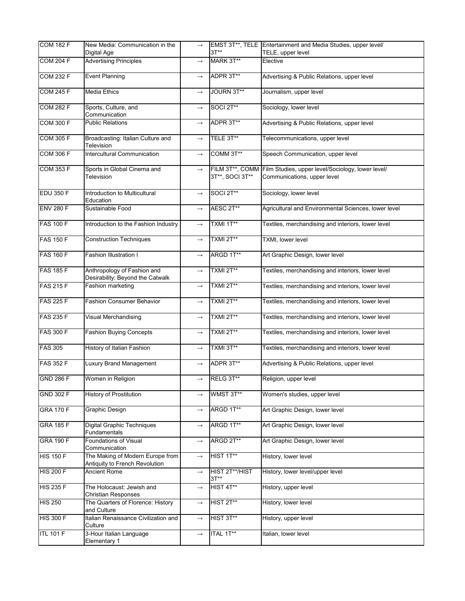| <b>COM 182 F</b> | New Media: Communication in the<br>Digital Age                     | $\longrightarrow$ | $3T**$                             | EMST 3T**, TELE Entertainment and Media Studies, upper level/<br>TELE, upper level |
|------------------|--------------------------------------------------------------------|-------------------|------------------------------------|------------------------------------------------------------------------------------|
| <b>COM 204 F</b> | <b>Advertising Principles</b>                                      | $\longrightarrow$ | MARK 3T**                          | Elective                                                                           |
| <b>COM 232 F</b> | <b>Event Planning</b>                                              | $\longrightarrow$ | ADPR 3T**                          | Advertising & Public Relations, upper level                                        |
| <b>COM 245 F</b> | <b>Media Ethics</b>                                                | $\longrightarrow$ | JOURN 3T**                         | Journalism, upper level                                                            |
| <b>COM 282 F</b> | Sports, Culture, and<br>Communication                              | $\rightarrow$     | SOCI 2T**                          | Sociology, lower level                                                             |
| <b>COM 300 F</b> | <b>Public Relations</b>                                            | $\longrightarrow$ | ADPR 3T**                          | Advertising & Public Relations, upper level                                        |
| <b>COM 305 F</b> | Broadcasting: Italian Culture and<br>Television                    | $\longrightarrow$ | TELE 3T**                          | Telecommunications, upper level                                                    |
| <b>COM 306 F</b> | Intercultural Communication                                        | $\longrightarrow$ | COMM 3T**                          | Speech Communication, upper level                                                  |
| <b>COM 353 F</b> | Sports in Global Cinema and<br>Television                          | $\rightarrow$     | FILM 3T**, COMM<br>3T**, SOCI 3T** | Film Studies, upper level/Sociology, lower level/<br>Communications, upper level   |
| <b>EDU 350 F</b> | Introduction to Multicultural<br>Education                         | $\longrightarrow$ | SOCI 2T**                          | Sociology, lower level                                                             |
| <b>ENV 280 F</b> | Sustainable Food                                                   | $\longrightarrow$ | AESC 2T**                          | Agricultural and Environmental Sciences, lower level                               |
| <b>FAS 100 F</b> | Introduction to the Fashion Industry                               | $\rightarrow$     | TXMI 1T**                          | Textiles, merchandising and interiors, lower level                                 |
| <b>FAS 150 F</b> | <b>Construction Techniques</b>                                     | $\longrightarrow$ | TXMI 2T**                          | TXMI, lower level                                                                  |
| <b>FAS 160 F</b> | <b>Fashion Illustration I</b>                                      | $\longrightarrow$ | ARGD 1T**                          | Art Graphic Design, lower level                                                    |
| <b>FAS 185 F</b> | Anthropology of Fashion and<br>Desirability: Beyond the Catwalk    | $\rightarrow$     | TXMI 2T**                          | Textiles, merchandising and interiors, lower level                                 |
| <b>FAS 215 F</b> | Fashion marketing                                                  | $\longrightarrow$ | TXMI 2T**                          | Textiles, merchandising and interiors, lower level                                 |
| <b>FAS 225 F</b> | <b>Fashion Consumer Behavior</b>                                   | $\rightarrow$     | TXMI 2T**                          | Textiles, merchandising and interiors, lower level                                 |
| <b>FAS 235 F</b> | Visual Merchandising                                               | $\rightarrow$     | TXMI 2T**                          | Textiles, merchandising and interiors, lower level                                 |
| <b>FAS 300 F</b> | <b>Fashion Buying Concepts</b>                                     | $\rightarrow$     | TXMI 2T**                          | Textiles, merchandising and interiors, lower level                                 |
| <b>FAS 305</b>   | History of Italian Fashion                                         | $\longrightarrow$ | TXMI 3T**                          | Textiles, merchandising and interiors, lower level                                 |
| <b>FAS 352 F</b> | <b>Luxury Brand Management</b>                                     | $\longrightarrow$ | ADPR 3T**                          | Advertising & Public Relations, upper level                                        |
| <b>GND 286 F</b> | Women in Religion                                                  | $\longrightarrow$ | RELG 3T**                          | Religion, upper level                                                              |
| <b>GND 302 F</b> | <b>History of Prostitution</b>                                     | $\longrightarrow$ | WMST 3T**                          | Women's studies, upper level                                                       |
| <b>GRA 170 F</b> | Graphic Design                                                     | $\longrightarrow$ | ARGD 1T**                          | Art Graphic Design, lower level                                                    |
| <b>GRA 185 F</b> | <b>Digital Graphic Techniques</b><br>Fundamentals                  | $\longrightarrow$ | ARGD 1T**                          | Art Graphic Design, lower level                                                    |
| <b>GRA 190 F</b> | <b>Foundations of Visual</b><br>Communication                      | $\longrightarrow$ | ARGD 2T**                          | Art Graphic Design, lower level                                                    |
| <b>HIS 150 F</b> | The Making of Modern Europe from<br>Antiquity to French Revolution | $\rightarrow$     | HIST 1T**                          | History, lower level                                                               |
| <b>HIS 200 F</b> | Ancient Rome                                                       | $\longrightarrow$ | HIST 2T**/HIST<br>$3T**$           | History, lower level/upper level                                                   |
| <b>HIS 235 F</b> | The Holocaust: Jewish and<br>Christian Responses                   | $\longrightarrow$ | HIST 4T**                          | History, upper level                                                               |
| <b>HIS 250</b>   | The Quarters of Florence: History<br>and Culture                   | $\longrightarrow$ | HIST 2T**                          | History, lower level                                                               |
| <b>HIS 300 F</b> | Italian Renaissance Civilization and<br>Culture                    | $\longrightarrow$ | HIST 3T**                          | History, upper level                                                               |
| <b>ITL 101 F</b> | 3-Hour Italian Language<br>Elementary 1                            | $\longrightarrow$ | ITAL 1T**                          | Italian, lower level                                                               |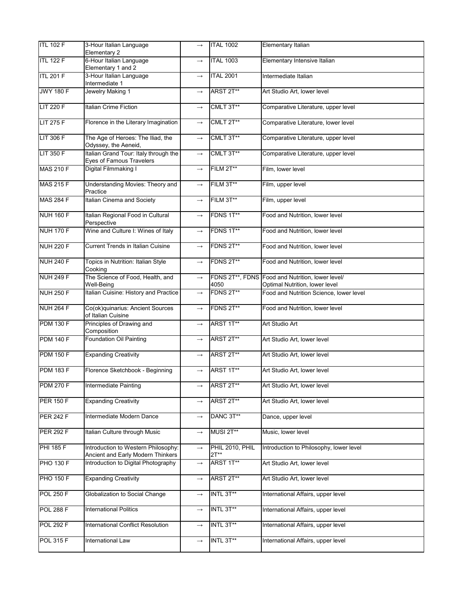| <b>ITL 102 F</b> | 3-Hour Italian Language<br>Elementary 2                                  | $\longrightarrow$ | <b>ITAL 1002</b>          | Elementary Italian                                                                 |
|------------------|--------------------------------------------------------------------------|-------------------|---------------------------|------------------------------------------------------------------------------------|
| <b>ITL 122 F</b> | 6-Hour Italian Language                                                  | $\rightarrow$     | <b>ITAL 1003</b>          | Elementary Intensive Italian                                                       |
| <b>ITL 201 F</b> | Elementary 1 and 2<br>3-Hour Italian Language                            | $\longrightarrow$ | <b>ITAL 2001</b>          | Intermediate Italian                                                               |
| <b>JWY 180 F</b> | Intermediate 1<br>Jewelry Making 1                                       | $\rightarrow$     | ARST 2T**                 | Art Studio Art, lower level                                                        |
|                  |                                                                          |                   |                           |                                                                                    |
| <b>LIT 220 F</b> | <b>Italian Crime Fiction</b>                                             | $\rightarrow$     | CMLT 3T**                 | Comparative Literature, upper level                                                |
| <b>LIT 275 F</b> | Florence in the Literary Imagination                                     | $\longrightarrow$ | CMLT 2T**                 | Comparative Literature, lower level                                                |
| <b>LIT 306 F</b> | The Age of Heroes: The Iliad, the<br>Odyssey, the Aeneid,                | $\rightarrow$     | CMLT 3T**                 | Comparative Literature, upper level                                                |
| <b>LIT 350 F</b> | Italian Grand Tour: Italy through the<br>Eyes of Famous Travelers        | $\longrightarrow$ | CMLT 3T**                 | Comparative Literature, upper level                                                |
| <b>MAS 210 F</b> | Digital Filmmaking I                                                     | $\rightarrow$     | FILM 2T**                 | Film, lower level                                                                  |
| <b>MAS 215 F</b> | Understanding Movies: Theory and<br>Practice                             | $\longrightarrow$ | FILM 3T**                 | Film, upper level                                                                  |
| <b>MAS 284 F</b> | <b>Italian Cinema and Society</b>                                        | $\longrightarrow$ | FILM 3T**                 | Film, upper level                                                                  |
| <b>NUH 160 F</b> | Italian Regional Food in Cultural<br>Perspective                         | $\rightarrow$     | FDNS 1T**                 | Food and Nutrition, lower level                                                    |
| <b>NUH 170 F</b> | Wine and Culture I: Wines of Italy                                       | $\longrightarrow$ | FDNS 1T**                 | Food and Nutrition, lower level                                                    |
| <b>NUH 220 F</b> | <b>Current Trends in Italian Cuisine</b>                                 | $\rightarrow$     | FDNS 2T**                 | Food and Nutrition, lower level                                                    |
| <b>NUH 240 F</b> | Topics in Nutrition: Italian Style<br>Cooking                            | $\longrightarrow$ | FDNS 2T**                 | Food and Nutrition, lower level                                                    |
| <b>NUH 249 F</b> | The Science of Food, Health, and<br>Well-Being                           | $\longrightarrow$ | 4050                      | FDNS 2T**, FDNS Food and Nutrition, lower level/<br>Optimal Nutrition, lower level |
| <b>NUH 250 F</b> | Italian Cuisine: History and Practice                                    | $\rightarrow$     | FDNS 2T**                 | Food and Nutrition Science, lower level                                            |
| <b>NUH 264 F</b> | Co(ok)quinarius: Ancient Sources<br>of Italian Cuisine                   | $\longrightarrow$ | FDNS 2T**                 | Food and Nutrition, lower level                                                    |
| <b>PDM 130 F</b> | Principles of Drawing and<br>Composition                                 | $\longrightarrow$ | ARST 1T**                 | Art Studio Art                                                                     |
| <b>PDM 140 F</b> | <b>Foundation Oil Painting</b>                                           | $\longrightarrow$ | ARST 2T**                 | Art Studio Art, lower level                                                        |
| <b>PDM 150 F</b> | <b>Expanding Creativity</b>                                              | $\longrightarrow$ | ARST 2T**                 | Art Studio Art, lower level                                                        |
| <b>PDM 183 F</b> | Florence Sketchbook - Beginning                                          | $\rightarrow$     | ARST 1T**                 | Art Studio Art, lower level                                                        |
| <b>PDM 270 F</b> | <b>Intermediate Painting</b>                                             | $\longrightarrow$ | ARST 2T**                 | Art Studio Art, lower level                                                        |
| <b>PER 150 F</b> | <b>Expanding Creativity</b>                                              | $\rightarrow$     | ARST 2T**                 | Art Studio Art, lower level                                                        |
| <b>PER 242 F</b> | Intermediate Modern Dance                                                | $\longrightarrow$ | DANC 3T**                 | Dance, upper level                                                                 |
| <b>PER 292 F</b> | Italian Culture through Music                                            | $\longrightarrow$ | MUSI 2T**                 | Music, lower level                                                                 |
| <b>PHI 185 F</b> | Introduction to Western Philosophy:<br>Ancient and Early Modern Thinkers | $\longrightarrow$ | PHIL 2010, PHIL<br>$2T**$ | Introduction to Philosophy, lower level                                            |
| <b>PHO 130 F</b> | Introduction to Digital Photography                                      | $\longrightarrow$ | ARST 1T**                 | Art Studio Art, lower level                                                        |
| <b>PHO 150 F</b> | <b>Expanding Creativity</b>                                              | $\rightarrow$     | ARST 2T**                 | Art Studio Art, lower level                                                        |
| <b>POL 250 F</b> | Globalization to Social Change                                           | $\longrightarrow$ | INTL 3T**                 | International Affairs, upper level                                                 |
| <b>POL 288 F</b> | <b>International Politics</b>                                            | $\longrightarrow$ | INTL 3T**                 | International Affairs, upper level                                                 |
| <b>POL 292 F</b> | International Conflict Resolution                                        | $\rightarrow$     | INTL 3T**                 | International Affairs, upper level                                                 |
| <b>POL 315 F</b> | <b>International Law</b>                                                 | $\longrightarrow$ | INTL 3T**                 | International Affairs, upper level                                                 |